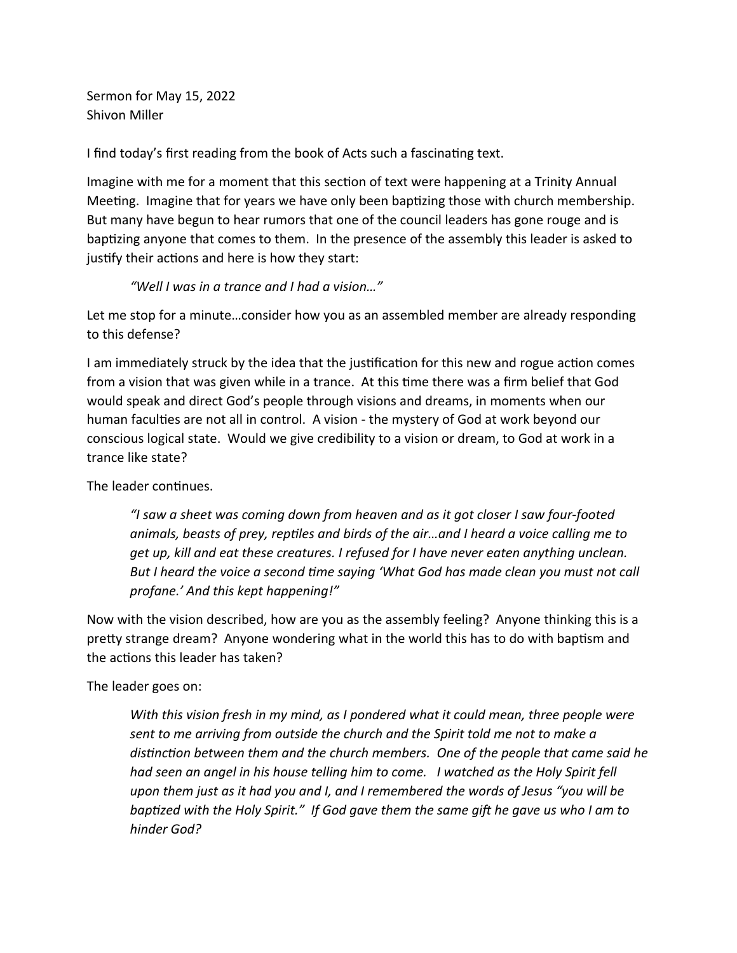Sermon for May 15, 2022 Shivon Miller

I find today's first reading from the book of Acts such a fascinating text.

Imagine with me for a moment that this section of text were happening at a Trinity Annual Meeting. Imagine that for years we have only been baptizing those with church membership. But many have begun to hear rumors that one of the council leaders has gone rouge and is baptizing anyone that comes to them. In the presence of the assembly this leader is asked to justify their actions and here is how they start:

## *"Well I was in a trance and I had a vision…"*

Let me stop for a minute…consider how you as an assembled member are already responding to this defense?

I am immediately struck by the idea that the justification for this new and rogue action comes from a vision that was given while in a trance. At this time there was a firm belief that God would speak and direct God's people through visions and dreams, in moments when our human faculties are not all in control. A vision - the mystery of God at work beyond our conscious logical state. Would we give credibility to a vision or dream, to God at work in a trance like state?

The leader continues.

*"I saw a sheet was coming down from heaven and as it got closer I saw four-footed animals, beasts of prey, reptiles and birds of the air…and I heard a voice calling me to get up, kill and eat these creatures. I refused for I have never eaten anything unclean. But I heard the voice a second time saying 'What God has made clean you must not call profane.' And this kept happening!"*

Now with the vision described, how are you as the assembly feeling? Anyone thinking this is a pretty strange dream? Anyone wondering what in the world this has to do with baptism and the actions this leader has taken?

The leader goes on:

*With this vision fresh in my mind, as I pondered what it could mean, three people were sent to me arriving from outside the church and the Spirit told me not to make a distinction between them and the church members. One of the people that came said he had seen an angel in his house telling him to come. I watched as the Holy Spirit fell upon them just as it had you and I, and I remembered the words of Jesus "you will be baptized with the Holy Spirit." If God gave them the same gift he gave us who I am to hinder God?*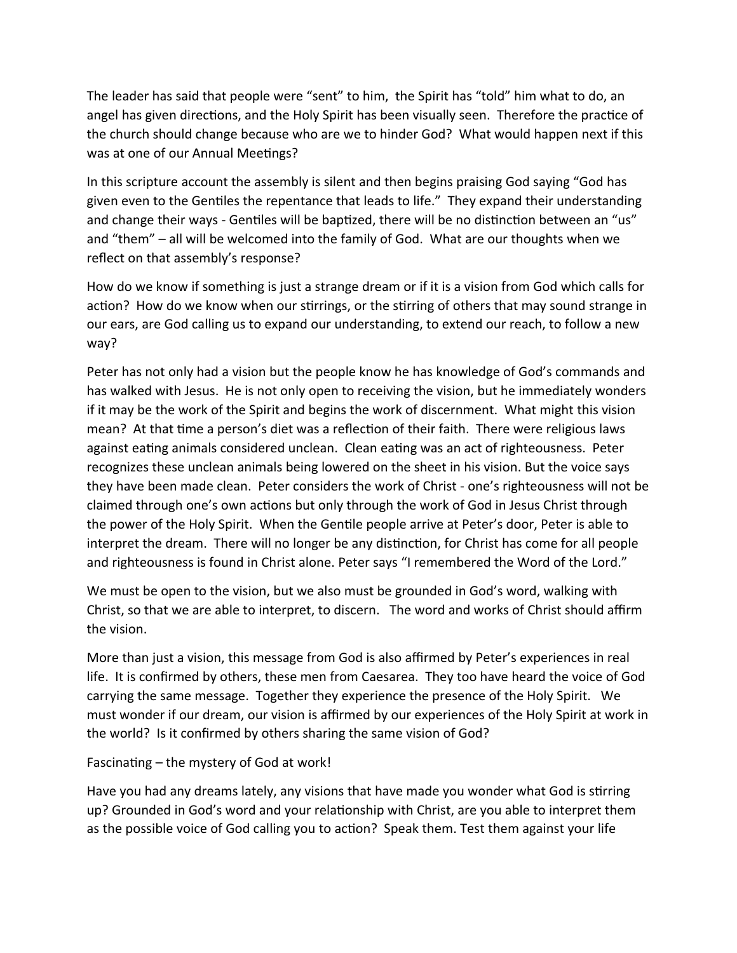The leader has said that people were "sent" to him, the Spirit has "told" him what to do, an angel has given directions, and the Holy Spirit has been visually seen. Therefore the practice of the church should change because who are we to hinder God? What would happen next if this was at one of our Annual Meetings?

In this scripture account the assembly is silent and then begins praising God saying "God has given even to the Gentiles the repentance that leads to life." They expand their understanding and change their ways - Gentiles will be baptized, there will be no distinction between an "us" and "them" – all will be welcomed into the family of God. What are our thoughts when we reflect on that assembly's response?

How do we know if something is just a strange dream or if it is a vision from God which calls for action? How do we know when our stirrings, or the stirring of others that may sound strange in our ears, are God calling us to expand our understanding, to extend our reach, to follow a new way?

Peter has not only had a vision but the people know he has knowledge of God's commands and has walked with Jesus. He is not only open to receiving the vision, but he immediately wonders if it may be the work of the Spirit and begins the work of discernment. What might this vision mean? At that time a person's diet was a reflection of their faith. There were religious laws against eating animals considered unclean. Clean eating was an act of righteousness. Peter recognizes these unclean animals being lowered on the sheet in his vision. But the voice says they have been made clean. Peter considers the work of Christ - one's righteousness will not be claimed through one's own actions but only through the work of God in Jesus Christ through the power of the Holy Spirit. When the Gentile people arrive at Peter's door, Peter is able to interpret the dream. There will no longer be any distinction, for Christ has come for all people and righteousness is found in Christ alone. Peter says "I remembered the Word of the Lord."

We must be open to the vision, but we also must be grounded in God's word, walking with Christ, so that we are able to interpret, to discern. The word and works of Christ should affirm the vision.

More than just a vision, this message from God is also affirmed by Peter's experiences in real life. It is confirmed by others, these men from Caesarea. They too have heard the voice of God carrying the same message. Together they experience the presence of the Holy Spirit. We must wonder if our dream, our vision is affirmed by our experiences of the Holy Spirit at work in the world? Is it confirmed by others sharing the same vision of God?

Fascinating – the mystery of God at work!

Have you had any dreams lately, any visions that have made you wonder what God is stirring up? Grounded in God's word and your relationship with Christ, are you able to interpret them as the possible voice of God calling you to action? Speak them. Test them against your life